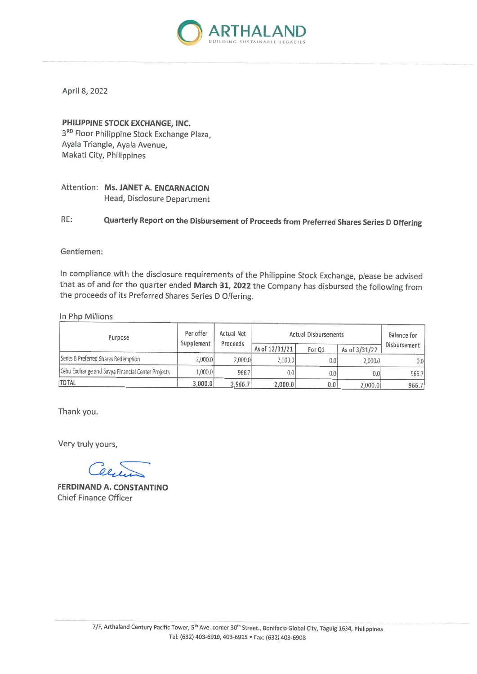

April 8, 2022

## PHILIPPINE STOCK EXCHANGE, INC.

3RD Floor Philippine Stock Exchange Plaza, Ayala Triangle, Ayala Avenue, Makati City, Philippines

Attention: Ms. JANET A. ENCARNACION Head, Disclosure Department

Quarterly Report on the Disbursement of Proceeds from Preferred Shares Series D Offering RE:

#### Gentlemen:

In compliance with the disclosure requirements of the Philippine Stock Exchange, please be advised that as of and for the quarter ended March 31, 2022 the Company has disbursed the following from the proceeds of its Preferred Shares Series D Offering.

In Php Millions

| Purpose                                           | Per offer<br>Supplement | <b>Actual Net</b><br>Proceeds | <b>Actual Disbursements</b> |        |               | <b>Balance</b> for |
|---------------------------------------------------|-------------------------|-------------------------------|-----------------------------|--------|---------------|--------------------|
|                                                   |                         |                               | As of 12/31/21              | For Q1 | As of 3/31/22 | Disbursement       |
| Series B Preferred Shares Redemption              | 2,000.0                 | 2.000.0                       | 2,000.0                     | 0.0    | 2,000.0       | 0.0                |
| Cebu Exchange and Savya Financial Center Projects | 1,000.0                 | 966.7                         | 0.0                         | 0.0    | 0.01          | 966.7              |
| <b>TOTAL</b>                                      | 3,000.0                 | 2,966.7                       | 2,000.0                     | 0.0    | 2,000.0       | 966.7              |

Thank you.

Very truly yours,

**FERDINAND A. CONSTANTINO Chief Finance Officer**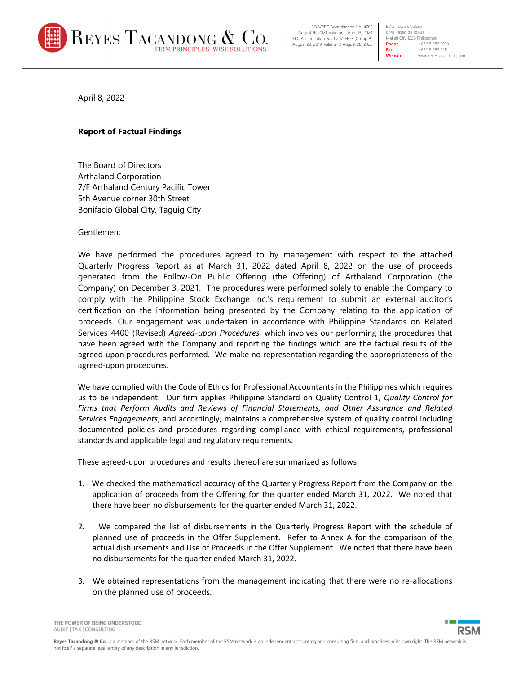

BOA/PRC Accreditation No. 4782 August 16, 2021, valid until April 13, 2024 SEC Accreditation No. 0207-FR-3 (Group A) August 29, 2019, valid until August 28, 2022

**BDO Towers Valero** 8741 Paseo de Roxas Makati City 1226 Philippines<br>Phone : +632 8 98 **Phone** : +632 8 982 9100 **Fax** : +632 8 982 9111<br> **Website** : www.revestacan **Website** : www.reyestacandong.com

April 8, 2022

## **Report of Factual Findings**

The Board of Directors Arthaland Corporation 7/F Arthaland Century Pacific Tower 5th Avenue corner 30th Street Bonifacio Global City, Taguig City

Gentlemen:

We have performed the procedures agreed to by management with respect to the attached Quarterly Progress Report as at March 31, 2022 dated April 8, 2022 on the use of proceeds generated from the Follow-On Public Offering (the Offering) of Arthaland Corporation (the Company) on December 3, 2021. The procedures were performed solely to enable the Company to comply with the Philippine Stock Exchange Inc.'s requirement to submit an external auditor's certification on the information being presented by the Company relating to the application of proceeds. Our engagement was undertaken in accordance with Philippine Standards on Related Services 4400 (Revised) *Agreed-upon Procedures*, which involves our performing the procedures that have been agreed with the Company and reporting the findings which are the factual results of the agreed‐upon procedures performed. We make no representation regarding the appropriateness of the agreed‐upon procedures.

We have complied with the Code of Ethics for Professional Accountants in the Philippines which requires us to be independent. Our firm applies Philippine Standard on Quality Control 1, *Quality Control for Firms that Perform Audits and Reviews of Financial Statements, and Other Assurance and Related Services Engagements*, and accordingly, maintains a comprehensive system of quality control including documented policies and procedures regarding compliance with ethical requirements, professional standards and applicable legal and regulatory requirements.

These agreed‐upon procedures and results thereof are summarized as follows:

- 1. We checked the mathematical accuracy of the Quarterly Progress Report from the Company on the application of proceeds from the Offering for the quarter ended March 31, 2022. We noted that there have been no disbursements for the quarter ended March 31, 2022.
- 2. We compared the list of disbursements in the Quarterly Progress Report with the schedule of planned use of proceeds in the Offer Supplement. Refer to Annex A for the comparison of the actual disbursements and Use of Proceeds in the Offer Supplement. We noted that there have been no disbursements for the quarter ended March 31, 2022.
- 3. We obtained representations from the management indicating that there were no re-allocations on the planned use of proceeds.



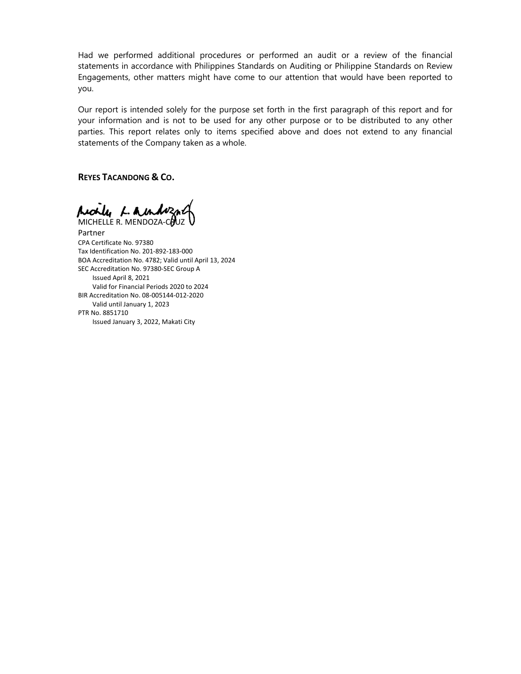Had we performed additional procedures or performed an audit or a review of the financial statements in accordance with Philippines Standards on Auditing or Philippine Standards on Review Engagements, other matters might have come to our attention that would have been reported to you.

Our report is intended solely for the purpose set forth in the first paragraph of this report and for your information and is not to be used for any other purpose or to be distributed to any other parties. This report relates only to items specified above and does not extend to any financial statements of the Company taken as a whole.

**REYES TACANDONG & CO.**

Accily L. Aundozal MICHELLE R. MENDOZA-COUZ

Partner CPA Certificate No. 97380 Tax Identification No. 201‐892‐183‐000 BOA Accreditation No. 4782; Valid until April 13, 2024 SEC Accreditation No. 97380‐SEC Group A Issued April 8, 2021 Valid for Financial Periods 2020 to 2024 BIR Accreditation No. 08‐005144‐012‐2020 Valid until January 1, 2023 PTR No. 8851710 Issued January 3, 2022, Makati City